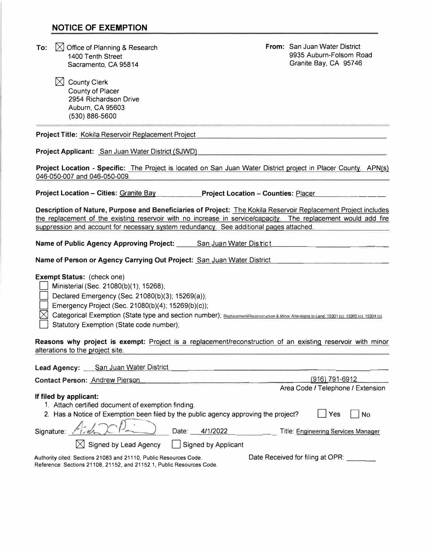#### **NOTICE OF EXEMPTION**

To:  $\bigotimes$  Office of Planning & Research 1400 Tenth Street Sacramento, CA 95814

> $\boxtimes$  County Clerk County of Placer 2954 Richardson Drive Auburn, CA 95603 (530) 886-5600

**From:** San Juan Water District 9935 Auburn-Folsom Road Granite Bay, CA 95746

**Project Title:** Kokila Reservoir Replacement Project

**Project Applicant:** San Juan Water District (SJWD)

**Project Location - Specific:** The Project is located on San Juan Water District project in Placer County. APN(s) 046-050-007 and 046-050-009.

**Project Location - Cities: Granite Bay <b>Project Location - Counties:** Placer

**Description of Nature, Purpose and Beneficiaries of Project:** The Kokila Reservoir Replacement Project includes the replacement of the existing reservoir with no increase in service/capacity. The replacement would add fire suppression and account for necessary system redundancy. See additional pages attached.

Name of Public Agency Approving Project: San Juan Water District

Name of Person or Agency Carrying Out Project: San Juan Water District

#### **Exempt Status:** (check one)

Ministerial (Sec. 21080(b)(1); 15268);

Declared Emergency (Sec. 21080(b)(3); 15269(a));

Emergency Project (Sec. 21080(b)(4); 15269(b)(c));

 $\bowtie$  Categorical Exemption (State type and section number); Replacement/Reconstruction & Minor Alteralions to Land, 15301 (c), 15302 (c), 15304 (c)

Statutory Exemption (State code number);

**Reasons why project is exempt:** Project is a replacement/reconstruction of an existing reservoir with minor alterations to the project site.

| <b>Lead Agency:</b> San Juan Water District                                                                                                |                                     |
|--------------------------------------------------------------------------------------------------------------------------------------------|-------------------------------------|
| <b>Contact Person: Andrew Pierson</b>                                                                                                      | (916) 791-6912                      |
|                                                                                                                                            | Area Code / Telephone / Extension   |
| If filed by applicant:                                                                                                                     |                                     |
| 1. Attach certified document of exemption finding.                                                                                         |                                     |
| 2. Has a Notice of Exemption been filed by the public agency approving the project?                                                        | Yes <br>No                          |
| Signature: $A \sim 1$                                                                                                                      | Title: Engineering Services Manager |
| $\boxtimes$ Signed by Lead Agency $\Box$ Signed by Applicant                                                                               |                                     |
| Authority cited: Sections 21083 and 21110, Public Resources Code.<br>Reference: Sections 21108, 21152, and 21152.1, Public Resources Code. | Date Received for filing at OPR:    |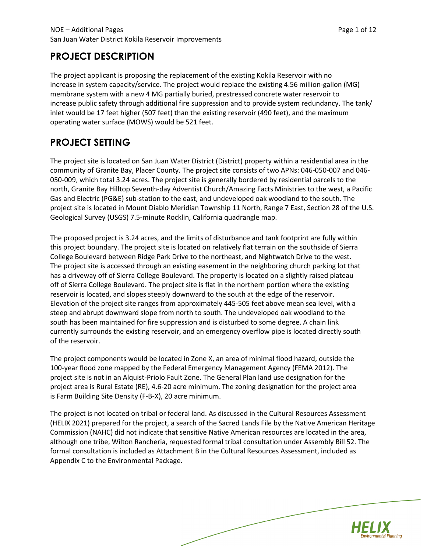## **PROJECT DESCRIPTION**

The project applicant is proposing the replacement of the existing Kokila Reservoir with no increase in system capacity/service. The project would replace the existing 4.56 million-gallon (MG) membrane system with a new 4 MG partially buried, prestressed concrete water reservoir to increase public safety through additional fire suppression and to provide system redundancy. The tank/ inlet would be 17 feet higher (507 feet) than the existing reservoir (490 feet), and the maximum operating water surface (MOWS) would be 521 feet.

# **PROJECT SETTING**

The project site is located on San Juan Water District (District) property within a residential area in the community of Granite Bay, Placer County. The project site consists of two APNs: 046-050-007 and 046- 050-009, which total 3.24 acres. The project site is generally bordered by residential parcels to the north, Granite Bay Hilltop Seventh-day Adventist Church/Amazing Facts Ministries to the west, a Pacific Gas and Electric (PG&E) sub-station to the east, and undeveloped oak woodland to the south. The project site is located in Mount Diablo Meridian Township 11 North, Range 7 East, Section 28 of the U.S. Geological Survey (USGS) 7.5-minute Rocklin, California quadrangle map.

The proposed project is 3.24 acres, and the limits of disturbance and tank footprint are fully within this project boundary. The project site is located on relatively flat terrain on the southside of Sierra College Boulevard between Ridge Park Drive to the northeast, and Nightwatch Drive to the west. The project site is accessed through an existing easement in the neighboring church parking lot that has a driveway off of Sierra College Boulevard. The property is located on a slightly raised plateau off of Sierra College Boulevard. The project site is flat in the northern portion where the existing reservoir is located, and slopes steeply downward to the south at the edge of the reservoir. Elevation of the project site ranges from approximately 445-505 feet above mean sea level, with a steep and abrupt downward slope from north to south. The undeveloped oak woodland to the south has been maintained for fire suppression and is disturbed to some degree. A chain link currently surrounds the existing reservoir, and an emergency overflow pipe is located directly south of the reservoir.

The project components would be located in Zone X, an area of minimal flood hazard, outside the 100-year flood zone mapped by the Federal Emergency Management Agency (FEMA 2012). The project site is not in an Alquist-Priolo Fault Zone. The General Plan land use designation for the project area is Rural Estate (RE), 4.6-20 acre minimum. The zoning designation for the project area is Farm Building Site Density (F-B-X), 20 acre minimum.

The project is not located on tribal or federal land. As discussed in the Cultural Resources Assessment (HELIX 2021) prepared for the project, a search of the Sacred Lands File by the Native American Heritage Commission (NAHC) did not indicate that sensitive Native American resources are located in the area, although one tribe, Wilton Rancheria, requested formal tribal consultation under Assembly Bill 52. The formal consultation is included as Attachment B in the Cultural Resources Assessment, included as Appendix C to the Environmental Package.

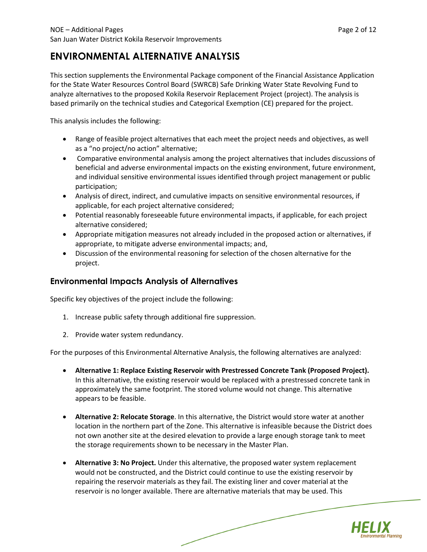## **ENVIRONMENTAL ALTERNATIVE ANALYSIS**

This section supplements the Environmental Package component of the Financial Assistance Application for the State Water Resources Control Board (SWRCB) Safe Drinking Water State Revolving Fund to analyze alternatives to the proposed Kokila Reservoir Replacement Project (project). The analysis is based primarily on the technical studies and Categorical Exemption (CE) prepared for the project.

This analysis includes the following:

- Range of feasible project alternatives that each meet the project needs and objectives, as well as a "no project/no action" alternative;
- Comparative environmental analysis among the project alternatives that includes discussions of beneficial and adverse environmental impacts on the existing environment, future environment, and individual sensitive environmental issues identified through project management or public participation;
- Analysis of direct, indirect, and cumulative impacts on sensitive environmental resources, if applicable, for each project alternative considered;
- Potential reasonably foreseeable future environmental impacts, if applicable, for each project alternative considered;
- Appropriate mitigation measures not already included in the proposed action or alternatives, if appropriate, to mitigate adverse environmental impacts; and,
- Discussion of the environmental reasoning for selection of the chosen alternative for the project.

## **Environmental Impacts Analysis of Alternatives**

Specific key objectives of the project include the following:

- 1. Increase public safety through additional fire suppression.
- 2. Provide water system redundancy.

For the purposes of this Environmental Alternative Analysis, the following alternatives are analyzed:

- **Alternative 1: Replace Existing Reservoir with Prestressed Concrete Tank (Proposed Project).** In this alternative, the existing reservoir would be replaced with a prestressed concrete tank in approximately the same footprint. The stored volume would not change. This alternative appears to be feasible.
- **Alternative 2: Relocate Storage**. In this alternative, the District would store water at another location in the northern part of the Zone. This alternative is infeasible because the District does not own another site at the desired elevation to provide a large enough storage tank to meet the storage requirements shown to be necessary in the Master Plan.
- **Alternative 3: No Project.** Under this alternative, the proposed water system replacement would not be constructed, and the District could continue to use the existing reservoir by repairing the reservoir materials as they fail. The existing liner and cover material at the reservoir is no longer available. There are alternative materials that may be used. This

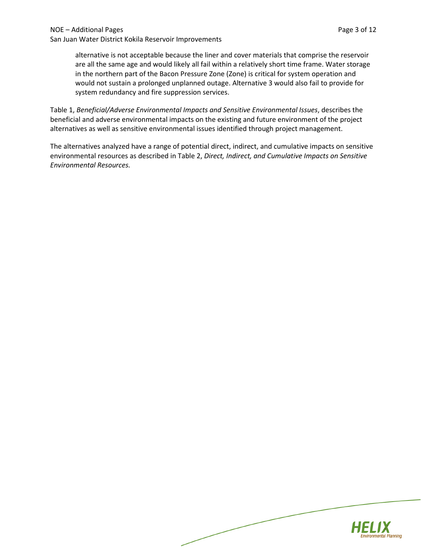San Juan Water District Kokila Reservoir Improvements

alternative is not acceptable because the liner and cover materials that comprise the reservoir are all the same age and would likely all fail within a relatively short time frame. Water storage in the northern part of the Bacon Pressure Zone (Zone) is critical for system operation and would not sustain a prolonged unplanned outage. Alternative 3 would also fail to provide for system redundancy and fire suppression services.

Table 1, *Beneficial/Adverse Environmental Impacts and Sensitive Environmental Issues*, describes the beneficial and adverse environmental impacts on the existing and future environment of the project alternatives as well as sensitive environmental issues identified through project management.

The alternatives analyzed have a range of potential direct, indirect, and cumulative impacts on sensitive environmental resources as described in Table 2, *Direct, Indirect, and Cumulative Impacts on Sensitive Environmental Resources.*

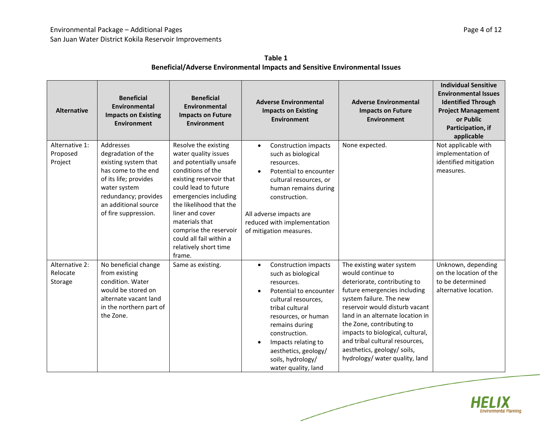| <b>Alternative</b>                    | <b>Beneficial</b><br><b>Environmental</b><br><b>Impacts on Existing</b><br><b>Environment</b>                                                                                                   | <b>Beneficial</b><br><b>Environmental</b><br><b>Impacts on Future</b><br><b>Environment</b>                                                                                                                                                                                                                                     | <b>Adverse Environmental</b><br><b>Impacts on Existing</b><br><b>Environment</b>                                                                                                                                                                                                                                         | <b>Adverse Environmental</b><br><b>Impacts on Future</b><br><b>Environment</b>                                                                                                                                                                                                                                                                                                      | <b>Individual Sensitive</b><br><b>Environmental Issues</b><br><b>Identified Through</b><br><b>Project Management</b><br>or Public<br>Participation, if<br>applicable |
|---------------------------------------|-------------------------------------------------------------------------------------------------------------------------------------------------------------------------------------------------|---------------------------------------------------------------------------------------------------------------------------------------------------------------------------------------------------------------------------------------------------------------------------------------------------------------------------------|--------------------------------------------------------------------------------------------------------------------------------------------------------------------------------------------------------------------------------------------------------------------------------------------------------------------------|-------------------------------------------------------------------------------------------------------------------------------------------------------------------------------------------------------------------------------------------------------------------------------------------------------------------------------------------------------------------------------------|----------------------------------------------------------------------------------------------------------------------------------------------------------------------|
| Alternative 1:<br>Proposed<br>Project | Addresses<br>degradation of the<br>existing system that<br>has come to the end<br>of its life; provides<br>water system<br>redundancy; provides<br>an additional source<br>of fire suppression. | Resolve the existing<br>water quality issues<br>and potentially unsafe<br>conditions of the<br>existing reservoir that<br>could lead to future<br>emergencies including<br>the likelihood that the<br>liner and cover<br>materials that<br>comprise the reservoir<br>could all fail within a<br>relatively short time<br>frame. | Construction impacts<br>$\bullet$<br>such as biological<br>resources.<br>Potential to encounter<br>$\bullet$<br>cultural resources, or<br>human remains during<br>construction.<br>All adverse impacts are<br>reduced with implementation<br>of mitigation measures.                                                     | None expected.                                                                                                                                                                                                                                                                                                                                                                      | Not applicable with<br>implementation of<br>identified mitigation<br>measures.                                                                                       |
| Alternative 2:<br>Relocate<br>Storage | No beneficial change<br>from existing<br>condition. Water<br>would be stored on<br>alternate vacant land<br>in the northern part of<br>the Zone.                                                | Same as existing.                                                                                                                                                                                                                                                                                                               | Construction impacts<br>$\bullet$<br>such as biological<br>resources.<br>Potential to encounter<br>$\bullet$<br>cultural resources,<br>tribal cultural<br>resources, or human<br>remains during<br>construction.<br>Impacts relating to<br>$\bullet$<br>aesthetics, geology/<br>soils, hydrology/<br>water quality, land | The existing water system<br>would continue to<br>deteriorate, contributing to<br>future emergencies including<br>system failure. The new<br>reservoir would disturb vacant<br>land in an alternate location in<br>the Zone, contributing to<br>impacts to biological, cultural,<br>and tribal cultural resources,<br>aesthetics, geology/ soils,<br>hydrology/ water quality, land | Unknown, depending<br>on the location of the<br>to be determined<br>alternative location.                                                                            |

**Table 1 Beneficial/Adverse Environmental Impacts and Sensitive Environmental Issues**

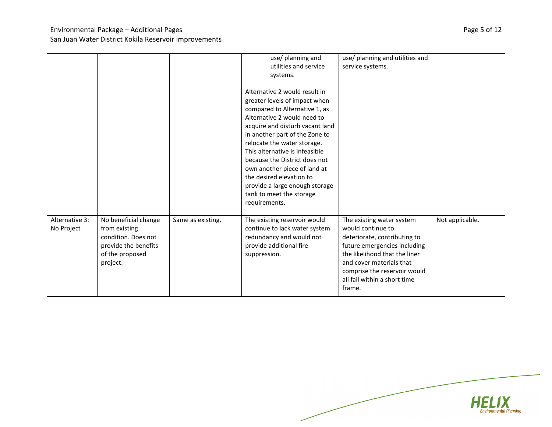### Environmental Package – Additional Pages **Page 12** and 2012 and 2013 and 2014 and 2014 and 2014 and 2014 and 201 San Juan Water District Kokila Reservoir Improvements

|                              |                                                                                                                     |                   | use/ planning and<br>utilities and service<br>systems.<br>Alternative 2 would result in<br>greater levels of impact when<br>compared to Alternative 1, as<br>Alternative 2 would need to<br>acquire and disturb vacant land<br>in another part of the Zone to<br>relocate the water storage.<br>This alternative is infeasible<br>because the District does not<br>own another piece of land at<br>the desired elevation to<br>provide a large enough storage<br>tank to meet the storage<br>requirements. | use/ planning and utilities and<br>service systems.                                                                                                                                                                                                   |                 |
|------------------------------|---------------------------------------------------------------------------------------------------------------------|-------------------|------------------------------------------------------------------------------------------------------------------------------------------------------------------------------------------------------------------------------------------------------------------------------------------------------------------------------------------------------------------------------------------------------------------------------------------------------------------------------------------------------------|-------------------------------------------------------------------------------------------------------------------------------------------------------------------------------------------------------------------------------------------------------|-----------------|
| Alternative 3:<br>No Project | No beneficial change<br>from existing<br>condition. Does not<br>provide the benefits<br>of the proposed<br>project. | Same as existing. | The existing reservoir would<br>continue to lack water system<br>redundancy and would not<br>provide additional fire<br>suppression.                                                                                                                                                                                                                                                                                                                                                                       | The existing water system<br>would continue to<br>deteriorate, contributing to<br>future emergencies including<br>the likelihood that the liner<br>and cover materials that<br>comprise the reservoir would<br>all fail within a short time<br>frame. | Not applicable. |

HELIX **Environmental Planning**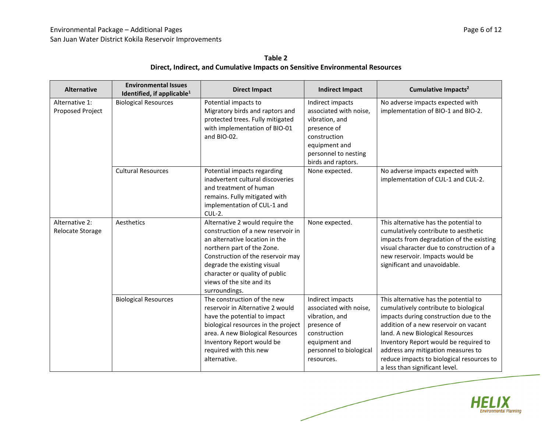| Table 2                                                                       |
|-------------------------------------------------------------------------------|
| Direct, Indirect, and Cumulative Impacts on Sensitive Environmental Resources |

| <b>Alternative</b>                 | <b>Environmental Issues</b><br>Identified, if applicable <sup>1</sup> | <b>Direct Impact</b>                                                                                                                                                                                                                                                                      | <b>Indirect Impact</b>                                                                                                                                     | Cumulative Impacts <sup>2</sup>                                                                                                                                                                                                                                                                                                                                     |
|------------------------------------|-----------------------------------------------------------------------|-------------------------------------------------------------------------------------------------------------------------------------------------------------------------------------------------------------------------------------------------------------------------------------------|------------------------------------------------------------------------------------------------------------------------------------------------------------|---------------------------------------------------------------------------------------------------------------------------------------------------------------------------------------------------------------------------------------------------------------------------------------------------------------------------------------------------------------------|
| Alternative 1:<br>Proposed Project | <b>Biological Resources</b>                                           | Potential impacts to<br>Migratory birds and raptors and<br>protected trees. Fully mitigated<br>with implementation of BIO-01<br>and BIO-02.                                                                                                                                               | Indirect impacts<br>associated with noise,<br>vibration, and<br>presence of<br>construction<br>equipment and<br>personnel to nesting<br>birds and raptors. | No adverse impacts expected with<br>implementation of BIO-1 and BIO-2.                                                                                                                                                                                                                                                                                              |
|                                    | <b>Cultural Resources</b>                                             | None expected.<br>Potential impacts regarding<br>inadvertent cultural discoveries<br>and treatment of human<br>remains. Fully mitigated with<br>implementation of CUL-1 and<br>$CUL-2.$                                                                                                   |                                                                                                                                                            | No adverse impacts expected with<br>implementation of CUL-1 and CUL-2.                                                                                                                                                                                                                                                                                              |
| Alternative 2:<br>Relocate Storage | Aesthetics                                                            | Alternative 2 would require the<br>construction of a new reservoir in<br>an alternative location in the<br>northern part of the Zone.<br>Construction of the reservoir may<br>degrade the existing visual<br>character or quality of public<br>views of the site and its<br>surroundings. | None expected.                                                                                                                                             | This alternative has the potential to<br>cumulatively contribute to aesthetic<br>impacts from degradation of the existing<br>visual character due to construction of a<br>new reservoir. Impacts would be<br>significant and unavoidable.                                                                                                                           |
|                                    | <b>Biological Resources</b>                                           | The construction of the new<br>reservoir in Alternative 2 would<br>have the potential to impact<br>biological resources in the project<br>area. A new Biological Resources<br>Inventory Report would be<br>required with this new<br>alternative.                                         | Indirect impacts<br>associated with noise,<br>vibration, and<br>presence of<br>construction<br>equipment and<br>personnel to biological<br>resources.      | This alternative has the potential to<br>cumulatively contribute to biological<br>impacts during construction due to the<br>addition of a new reservoir on vacant<br>land. A new Biological Resources<br>Inventory Report would be required to<br>address any mitigation measures to<br>reduce impacts to biological resources to<br>a less than significant level. |

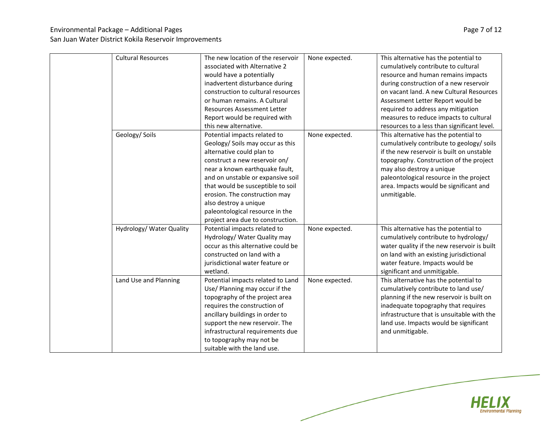## Environmental Package – Additional Pages **Page 7 of 12** and the environmental Package – Additional Page 7 of 12

| <b>Cultural Resources</b> | The new location of the reservoir  | None expected. | This alternative has the potential to       |
|---------------------------|------------------------------------|----------------|---------------------------------------------|
|                           | associated with Alternative 2      |                | cumulatively contribute to cultural         |
|                           | would have a potentially           |                | resource and human remains impacts          |
|                           | inadvertent disturbance during     |                | during construction of a new reservoir      |
|                           | construction to cultural resources |                | on vacant land. A new Cultural Resources    |
|                           | or human remains. A Cultural       |                | Assessment Letter Report would be           |
|                           | <b>Resources Assessment Letter</b> |                | required to address any mitigation          |
|                           | Report would be required with      |                | measures to reduce impacts to cultural      |
|                           | this new alternative.              |                | resources to a less than significant level. |
| Geology/ Soils            | Potential impacts related to       | None expected. | This alternative has the potential to       |
|                           | Geology/ Soils may occur as this   |                | cumulatively contribute to geology/ soils   |
|                           | alternative could plan to          |                | if the new reservoir is built on unstable   |
|                           | construct a new reservoir on/      |                | topography. Construction of the project     |
|                           | near a known earthquake fault,     |                | may also destroy a unique                   |
|                           | and on unstable or expansive soil  |                | paleontological resource in the project     |
|                           | that would be susceptible to soil  |                | area. Impacts would be significant and      |
|                           | erosion. The construction may      |                | unmitigable.                                |
|                           | also destroy a unique              |                |                                             |
|                           | paleontological resource in the    |                |                                             |
|                           | project area due to construction.  |                |                                             |
| Hydrology/ Water Quality  | Potential impacts related to       | None expected. | This alternative has the potential to       |
|                           | Hydrology/ Water Quality may       |                | cumulatively contribute to hydrology/       |
|                           | occur as this alternative could be |                | water quality if the new reservoir is built |
|                           | constructed on land with a         |                | on land with an existing jurisdictional     |
|                           | jurisdictional water feature or    |                | water feature. Impacts would be             |
|                           | wetland.                           |                | significant and unmitigable.                |
| Land Use and Planning     | Potential impacts related to Land  | None expected. | This alternative has the potential to       |
|                           | Use/ Planning may occur if the     |                | cumulatively contribute to land use/        |
|                           | topography of the project area     |                | planning if the new reservoir is built on   |
|                           | requires the construction of       |                | inadequate topography that requires         |
|                           | ancillary buildings in order to    |                | infrastructure that is unsuitable with the  |
|                           | support the new reservoir. The     |                | land use. Impacts would be significant      |
|                           | infrastructural requirements due   |                | and unmitigable.                            |
|                           | to topography may not be           |                |                                             |
|                           | suitable with the land use.        |                |                                             |



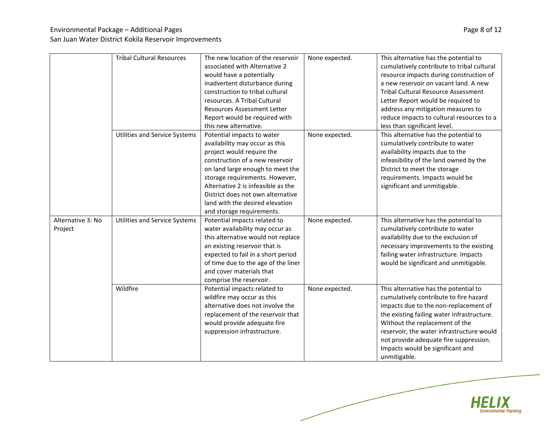## Environmental Package – Additional Pages **Page 8 of 12** and the environmental Package – Additional Page 8 of 12

|                   | <b>Tribal Cultural Resources</b> | The new location of the reservoir<br>associated with Alternative 2 | None expected. | This alternative has the potential to<br>cumulatively contribute to tribal cultural |
|-------------------|----------------------------------|--------------------------------------------------------------------|----------------|-------------------------------------------------------------------------------------|
|                   |                                  | would have a potentially                                           |                | resource impacts during construction of                                             |
|                   |                                  | inadvertent disturbance during                                     |                | a new reservoir on vacant land. A new                                               |
|                   |                                  | construction to tribal cultural                                    |                | <b>Tribal Cultural Resource Assessment</b>                                          |
|                   |                                  |                                                                    |                |                                                                                     |
|                   |                                  | resources. A Tribal Cultural                                       |                | Letter Report would be required to                                                  |
|                   |                                  | <b>Resources Assessment Letter</b>                                 |                | address any mitigation measures to                                                  |
|                   |                                  | Report would be required with                                      |                | reduce impacts to cultural resources to a                                           |
|                   |                                  | this new alternative.                                              |                | less than significant level.                                                        |
|                   | Utilities and Service Systems    | Potential impacts to water                                         | None expected. | This alternative has the potential to                                               |
|                   |                                  | availability may occur as this                                     |                | cumulatively contribute to water                                                    |
|                   |                                  | project would require the                                          |                | availability impacts due to the                                                     |
|                   |                                  | construction of a new reservoir                                    |                | infeasibility of the land owned by the                                              |
|                   |                                  | on land large enough to meet the                                   |                | District to meet the storage                                                        |
|                   |                                  | storage requirements. However,                                     |                | requirements. Impacts would be                                                      |
|                   |                                  | Alternative 2 is infeasible as the                                 |                | significant and unmitigable.                                                        |
|                   |                                  | District does not own alternative                                  |                |                                                                                     |
|                   |                                  | land with the desired elevation                                    |                |                                                                                     |
|                   |                                  | and storage requirements.                                          |                |                                                                                     |
| Alternative 3: No | Utilities and Service Systems    | Potential impacts related to                                       | None expected. | This alternative has the potential to                                               |
| Project           |                                  | water availability may occur as                                    |                | cumulatively contribute to water                                                    |
|                   |                                  | this alternative would not replace                                 |                | availability due to the exclusion of                                                |
|                   |                                  | an existing reservoir that is                                      |                | necessary improvements to the existing                                              |
|                   |                                  | expected to fail in a short period                                 |                | failing water infrastructure. Impacts                                               |
|                   |                                  | of time due to the age of the liner                                |                | would be significant and unmitigable.                                               |
|                   |                                  | and cover materials that                                           |                |                                                                                     |
|                   |                                  | comprise the reservoir.                                            |                |                                                                                     |
|                   | Wildfire                         | Potential impacts related to                                       | None expected. | This alternative has the potential to                                               |
|                   |                                  | wildfire may occur as this                                         |                | cumulatively contribute to fire hazard                                              |
|                   |                                  | alternative does not involve the                                   |                | impacts due to the non-replacement of                                               |
|                   |                                  | replacement of the reservoir that                                  |                | the existing failing water infrastructure.                                          |
|                   |                                  | would provide adequate fire                                        |                | Without the replacement of the                                                      |
|                   |                                  | suppression infrastructure.                                        |                | reservoir, the water infrastructure would                                           |
|                   |                                  |                                                                    |                | not provide adequate fire suppression.                                              |
|                   |                                  |                                                                    |                | Impacts would be significant and                                                    |
|                   |                                  |                                                                    |                | unmitigable.                                                                        |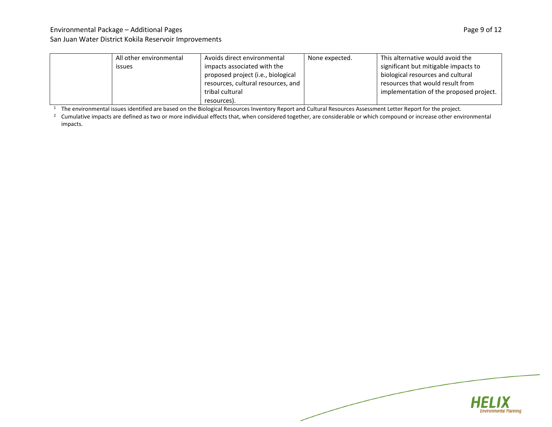## Environmental Package – Additional Pages **Page 9 of 12** and the environmental Package – Additional Page 9 of 12

#### San Juan Water District Kokila Reservoir Improvements

|  | All other environmental | Avoids direct environmental        | None expected. | This alternative would avoid the        |
|--|-------------------------|------------------------------------|----------------|-----------------------------------------|
|  | issues                  | impacts associated with the        |                | significant but mitigable impacts to    |
|  |                         | proposed project (i.e., biological |                | biological resources and cultural       |
|  |                         | resources, cultural resources, and |                | resources that would result from        |
|  |                         | tribal cultural                    |                | implementation of the proposed project. |
|  |                         | resources).                        |                |                                         |

<sup>1</sup> The environmental issues identified are based on the Biological Resources Inventory Report and Cultural Resources Assessment Letter Report for the project.

<sup>2</sup> Cumulative impacts are defined as two or more individual effects that, when considered together, are considerable or which compound or increase other environmental impacts.

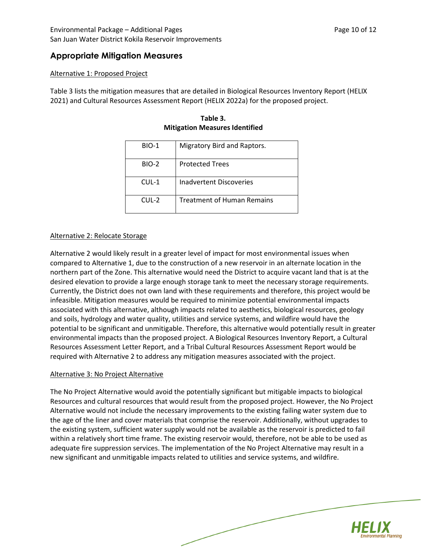## **Appropriate Mitigation Measures**

#### Alternative 1: Proposed Project

Table 3 lists the mitigation measures that are detailed in Biological Resources Inventory Report (HELIX 2021) and Cultural Resources Assessment Report (HELIX 2022a) for the proposed project.

| Table 3.                              |
|---------------------------------------|
| <b>Mitigation Measures Identified</b> |

| <b>BIO-1</b> | Migratory Bird and Raptors.       |
|--------------|-----------------------------------|
| BIO-2        | <b>Protected Trees</b>            |
| $CUL-1$      | <b>Inadvertent Discoveries</b>    |
| $CUL-2$      | <b>Treatment of Human Remains</b> |

#### Alternative 2: Relocate Storage

Alternative 2 would likely result in a greater level of impact for most environmental issues when compared to Alternative 1, due to the construction of a new reservoir in an alternate location in the northern part of the Zone. This alternative would need the District to acquire vacant land that is at the desired elevation to provide a large enough storage tank to meet the necessary storage requirements. Currently, the District does not own land with these requirements and therefore, this project would be infeasible. Mitigation measures would be required to minimize potential environmental impacts associated with this alternative, although impacts related to aesthetics, biological resources, geology and soils, hydrology and water quality, utilities and service systems, and wildfire would have the potential to be significant and unmitigable. Therefore, this alternative would potentially result in greater environmental impacts than the proposed project. A Biological Resources Inventory Report, a Cultural Resources Assessment Letter Report, and a Tribal Cultural Resources Assessment Report would be required with Alternative 2 to address any mitigation measures associated with the project.

#### Alternative 3: No Project Alternative

The No Project Alternative would avoid the potentially significant but mitigable impacts to biological Resources and cultural resources that would result from the proposed project. However, the No Project Alternative would not include the necessary improvements to the existing failing water system due to the age of the liner and cover materials that comprise the reservoir. Additionally, without upgrades to the existing system, sufficient water supply would not be available as the reservoir is predicted to fail within a relatively short time frame. The existing reservoir would, therefore, not be able to be used as adequate fire suppression services. The implementation of the No Project Alternative may result in a new significant and unmitigable impacts related to utilities and service systems, and wildfire.

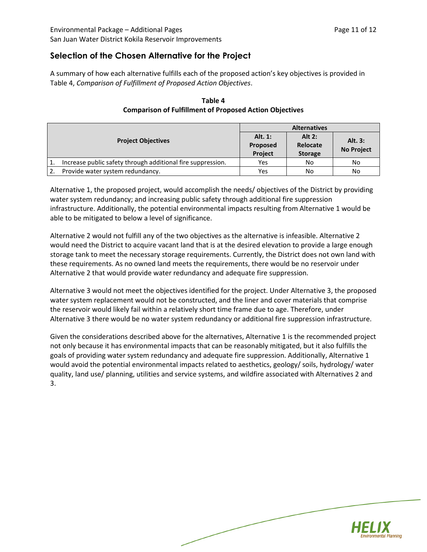### **Selection of the Chosen Alternative for the Project**

A summary of how each alternative fulfills each of the proposed action's key objectives is provided in Table 4, *Comparison of Fulfillment of Proposed Action Objectives*.

|    |                                                             | <b>Alternatives</b>  |                |                   |
|----|-------------------------------------------------------------|----------------------|----------------|-------------------|
|    |                                                             | Alt. 1:              | Alt $2:$       | Alt. 3:           |
|    | <b>Project Objectives</b>                                   | Proposed<br>Relocate |                | <b>No Project</b> |
|    |                                                             | Project              | <b>Storage</b> |                   |
|    | Increase public safety through additional fire suppression. | Yes                  | No             | No                |
| 2. | Provide water system redundancy.                            | Yes                  | No             | No                |

#### **Table 4 Comparison of Fulfillment of Proposed Action Objectives**

Alternative 1, the proposed project, would accomplish the needs/ objectives of the District by providing water system redundancy; and increasing public safety through additional fire suppression infrastructure. Additionally, the potential environmental impacts resulting from Alternative 1 would be able to be mitigated to below a level of significance.

Alternative 2 would not fulfill any of the two objectives as the alternative is infeasible. Alternative 2 would need the District to acquire vacant land that is at the desired elevation to provide a large enough storage tank to meet the necessary storage requirements. Currently, the District does not own land with these requirements. As no owned land meets the requirements, there would be no reservoir under Alternative 2 that would provide water redundancy and adequate fire suppression.

Alternative 3 would not meet the objectives identified for the project. Under Alternative 3, the proposed water system replacement would not be constructed, and the liner and cover materials that comprise the reservoir would likely fail within a relatively short time frame due to age. Therefore, under Alternative 3 there would be no water system redundancy or additional fire suppression infrastructure.

Given the considerations described above for the alternatives, Alternative 1 is the recommended project not only because it has environmental impacts that can be reasonably mitigated, but it also fulfills the goals of providing water system redundancy and adequate fire suppression. Additionally, Alternative 1 would avoid the potential environmental impacts related to aesthetics, geology/ soils, hydrology/ water quality, land use/ planning, utilities and service systems, and wildfire associated with Alternatives 2 and 3.